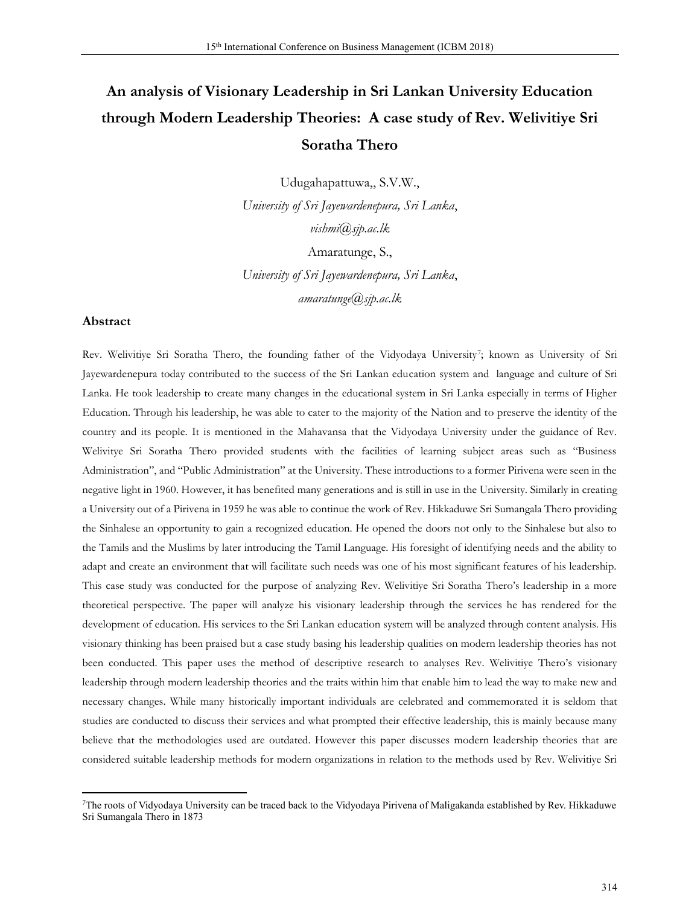# **An analysis of Visionary Leadership in Sri Lankan University Education through Modern Leadership Theories: A case study of Rev. Welivitiye Sri Soratha Thero**

Udugahapattuwa,, S.V.W., *University of Sri Jayewardenepura, Sri Lanka*, *vishmi@sjp.ac.lk* Amaratunge, S., *University of Sri Jayewardenepura, Sri Lanka*, *amaratunge@sjp.ac.lk*

#### **Abstract**

 $\overline{a}$ 

Rev. Welivitiye Sri Soratha Thero, the founding father of the Vidyodaya University<sup>7</sup>; known as University of Sri Jayewardenepura today contributed to the success of the Sri Lankan education system and language and culture of Sri Lanka. He took leadership to create many changes in the educational system in Sri Lanka especially in terms of Higher Education. Through his leadership, he was able to cater to the majority of the Nation and to preserve the identity of the country and its people. It is mentioned in the Mahavansa that the Vidyodaya University under the guidance of Rev. Welivitye Sri Soratha Thero provided students with the facilities of learning subject areas such as "Business Administration", and "Public Administration" at the University. These introductions to a former Pirivena were seen in the negative light in 1960. However, it has benefited many generations and is still in use in the University. Similarly in creating a University out of a Pirivena in 1959 he was able to continue the work of Rev. Hikkaduwe Sri Sumangala Thero providing the Sinhalese an opportunity to gain a recognized education. He opened the doors not only to the Sinhalese but also to the Tamils and the Muslims by later introducing the Tamil Language. His foresight of identifying needs and the ability to adapt and create an environment that will facilitate such needs was one of his most significant features of his leadership. This case study was conducted for the purpose of analyzing Rev. Welivitiye Sri Soratha Thero's leadership in a more theoretical perspective. The paper will analyze his visionary leadership through the services he has rendered for the development of education. His services to the Sri Lankan education system will be analyzed through content analysis. His visionary thinking has been praised but a case study basing his leadership qualities on modern leadership theories has not been conducted. This paper uses the method of descriptive research to analyses Rev. Welivitiye Thero's visionary leadership through modern leadership theories and the traits within him that enable him to lead the way to make new and necessary changes. While many historically important individuals are celebrated and commemorated it is seldom that studies are conducted to discuss their services and what prompted their effective leadership, this is mainly because many believe that the methodologies used are outdated. However this paper discusses modern leadership theories that are considered suitable leadership methods for modern organizations in relation to the methods used by Rev. Welivitiye Sri

<sup>7</sup>The roots of Vidyodaya University can be traced back to the Vidyodaya Pirivena of Maligakanda established by Rev. Hikkaduwe Sri Sumangala Thero in 1873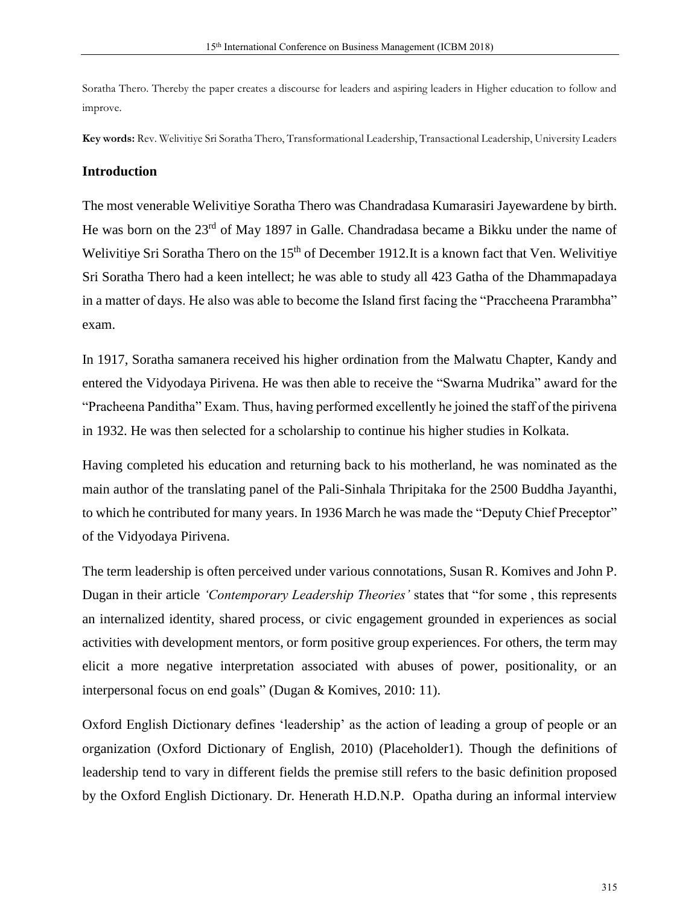Soratha Thero. Thereby the paper creates a discourse for leaders and aspiring leaders in Higher education to follow and improve.

**Key words:** Rev. Welivitiye Sri Soratha Thero, Transformational Leadership, Transactional Leadership, University Leaders

## **Introduction**

The most venerable Welivitiye Soratha Thero was Chandradasa Kumarasiri Jayewardene by birth. He was born on the 23<sup>rd</sup> of May 1897 in Galle. Chandradasa became a Bikku under the name of Welivitiye Sri Soratha Thero on the  $15<sup>th</sup>$  of December 1912.It is a known fact that Ven. Welivitiye Sri Soratha Thero had a keen intellect; he was able to study all 423 Gatha of the Dhammapadaya in a matter of days. He also was able to become the Island first facing the "Praccheena Prarambha" exam.

In 1917, Soratha samanera received his higher ordination from the Malwatu Chapter, Kandy and entered the Vidyodaya Pirivena. He was then able to receive the "Swarna Mudrika" award for the "Pracheena Panditha" Exam. Thus, having performed excellently he joined the staff of the pirivena in 1932. He was then selected for a scholarship to continue his higher studies in Kolkata.

Having completed his education and returning back to his motherland, he was nominated as the main author of the translating panel of the Pali-Sinhala Thripitaka for the 2500 Buddha Jayanthi, to which he contributed for many years. In 1936 March he was made the "Deputy Chief Preceptor" of the Vidyodaya Pirivena.

The term leadership is often perceived under various connotations, Susan R. Komives and John P. Dugan in their article *'Contemporary Leadership Theories'* states that "for some , this represents an internalized identity, shared process, or civic engagement grounded in experiences as social activities with development mentors, or form positive group experiences. For others, the term may elicit a more negative interpretation associated with abuses of power, positionality, or an interpersonal focus on end goals" (Dugan & Komives, 2010: 11).

Oxford English Dictionary defines 'leadership' as the action of leading a group of people or an organization (Oxford Dictionary of English, 2010) (Placeholder1). Though the definitions of leadership tend to vary in different fields the premise still refers to the basic definition proposed by the Oxford English Dictionary. Dr. Henerath H.D.N.P. Opatha during an informal interview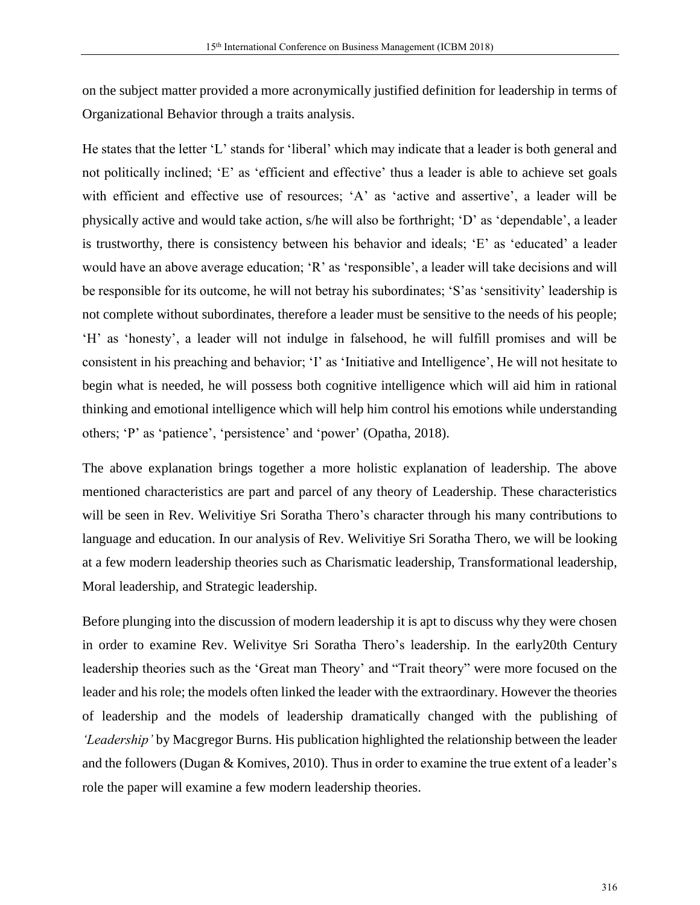on the subject matter provided a more acronymically justified definition for leadership in terms of Organizational Behavior through a traits analysis.

He states that the letter 'L' stands for 'liberal' which may indicate that a leader is both general and not politically inclined; 'E' as 'efficient and effective' thus a leader is able to achieve set goals with efficient and effective use of resources; 'A' as 'active and assertive', a leader will be physically active and would take action, s/he will also be forthright; 'D' as 'dependable', a leader is trustworthy, there is consistency between his behavior and ideals; 'E' as 'educated' a leader would have an above average education; 'R' as 'responsible', a leader will take decisions and will be responsible for its outcome, he will not betray his subordinates; 'S'as 'sensitivity' leadership is not complete without subordinates, therefore a leader must be sensitive to the needs of his people; 'H' as 'honesty', a leader will not indulge in falsehood, he will fulfill promises and will be consistent in his preaching and behavior; 'I' as 'Initiative and Intelligence', He will not hesitate to begin what is needed, he will possess both cognitive intelligence which will aid him in rational thinking and emotional intelligence which will help him control his emotions while understanding others; 'P' as 'patience', 'persistence' and 'power' (Opatha, 2018).

The above explanation brings together a more holistic explanation of leadership. The above mentioned characteristics are part and parcel of any theory of Leadership. These characteristics will be seen in Rev. Welivitiye Sri Soratha Thero's character through his many contributions to language and education. In our analysis of Rev. Welivitiye Sri Soratha Thero, we will be looking at a few modern leadership theories such as Charismatic leadership, Transformational leadership, Moral leadership, and Strategic leadership.

Before plunging into the discussion of modern leadership it is apt to discuss why they were chosen in order to examine Rev. Welivitye Sri Soratha Thero's leadership. In the early20th Century leadership theories such as the 'Great man Theory' and "Trait theory" were more focused on the leader and his role; the models often linked the leader with the extraordinary. However the theories of leadership and the models of leadership dramatically changed with the publishing of *'Leadership'* by Macgregor Burns. His publication highlighted the relationship between the leader and the followers (Dugan & Komives, 2010). Thus in order to examine the true extent of a leader's role the paper will examine a few modern leadership theories.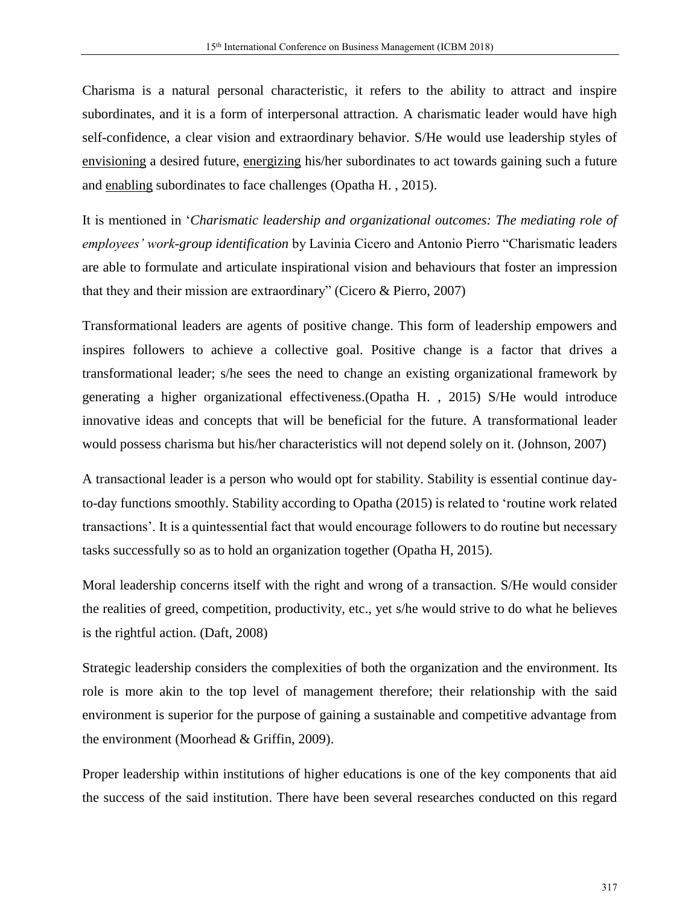Charisma is a natural personal characteristic, it refers to the ability to attract and inspire subordinates, and it is a form of interpersonal attraction. A charismatic leader would have high self-confidence, a clear vision and extraordinary behavior. S/He would use leadership styles of envisioning a desired future, energizing his/her subordinates to act towards gaining such a future and enabling subordinates to face challenges (Opatha H. , 2015).

It is mentioned in '*Charismatic leadership and organizational outcomes: The mediating role of employees' work-group identification* by Lavinia Cicero and Antonio Pierro "Charismatic leaders are able to formulate and articulate inspirational vision and behaviours that foster an impression that they and their mission are extraordinary" (Cicero & Pierro, 2007)

Transformational leaders are agents of positive change. This form of leadership empowers and inspires followers to achieve a collective goal. Positive change is a factor that drives a transformational leader; s/he sees the need to change an existing organizational framework by generating a higher organizational effectiveness.(Opatha H. , 2015) S/He would introduce innovative ideas and concepts that will be beneficial for the future. A transformational leader would possess charisma but his/her characteristics will not depend solely on it. (Johnson, 2007)

A transactional leader is a person who would opt for stability. Stability is essential continue dayto-day functions smoothly. Stability according to Opatha (2015) is related to 'routine work related transactions'. It is a quintessential fact that would encourage followers to do routine but necessary tasks successfully so as to hold an organization together (Opatha H, 2015).

Moral leadership concerns itself with the right and wrong of a transaction. S/He would consider the realities of greed, competition, productivity, etc., yet s/he would strive to do what he believes is the rightful action. (Daft, 2008)

Strategic leadership considers the complexities of both the organization and the environment. Its role is more akin to the top level of management therefore; their relationship with the said environment is superior for the purpose of gaining a sustainable and competitive advantage from the environment (Moorhead & Griffin, 2009).

Proper leadership within institutions of higher educations is one of the key components that aid the success of the said institution. There have been several researches conducted on this regard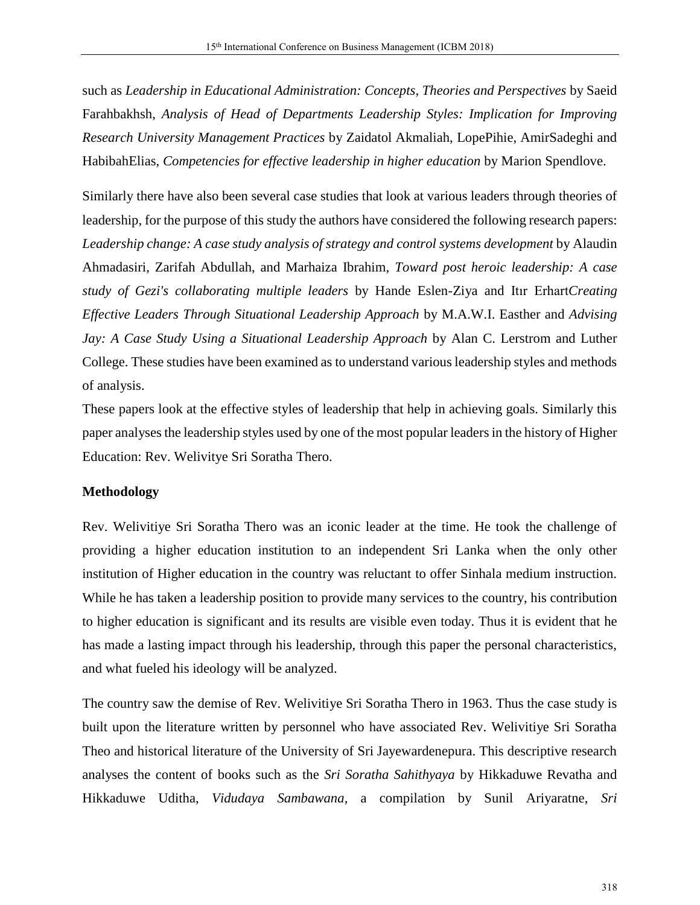such as *Leadership in Educational Administration: Concepts, Theories and Perspectives* by Saeid Farahbakhsh, *Analysis of Head of Departments Leadership Styles: Implication for Improving Research University Management Practices* by Zaidatol Akmaliah, LopePihie, AmirSadeghi and HabibahElias, *Competencies for effective leadership in higher education* by Marion Spendlove.

Similarly there have also been several case studies that look at various leaders through theories of leadership, for the purpose of this study the authors have considered the following research papers: *Leadership change: A case study analysis of strategy and control systems development* by Alaudin Ahmadasiri, Zarifah Abdullah, and Marhaiza Ibrahim, *Toward post heroic leadership: A case study of Gezi's collaborating multiple leaders* by Hande Eslen-Ziya and Itır Erhart*Creating Effective Leaders Through Situational Leadership Approach* by M.A.W.I. Easther and *Advising Jay: A Case Study Using a Situational Leadership Approach* by Alan C. Lerstrom and Luther College. These studies have been examined as to understand various leadership styles and methods of analysis.

These papers look at the effective styles of leadership that help in achieving goals. Similarly this paper analyses the leadership styles used by one of the most popular leaders in the history of Higher Education: Rev. Welivitye Sri Soratha Thero.

## **Methodology**

Rev. Welivitiye Sri Soratha Thero was an iconic leader at the time. He took the challenge of providing a higher education institution to an independent Sri Lanka when the only other institution of Higher education in the country was reluctant to offer Sinhala medium instruction. While he has taken a leadership position to provide many services to the country, his contribution to higher education is significant and its results are visible even today. Thus it is evident that he has made a lasting impact through his leadership, through this paper the personal characteristics, and what fueled his ideology will be analyzed.

The country saw the demise of Rev. Welivitiye Sri Soratha Thero in 1963. Thus the case study is built upon the literature written by personnel who have associated Rev. Welivitiye Sri Soratha Theo and historical literature of the University of Sri Jayewardenepura. This descriptive research analyses the content of books such as the *Sri Soratha Sahithyaya* by Hikkaduwe Revatha and Hikkaduwe Uditha, *Vidudaya Sambawana*, a compilation by Sunil Ariyaratne, *Sri*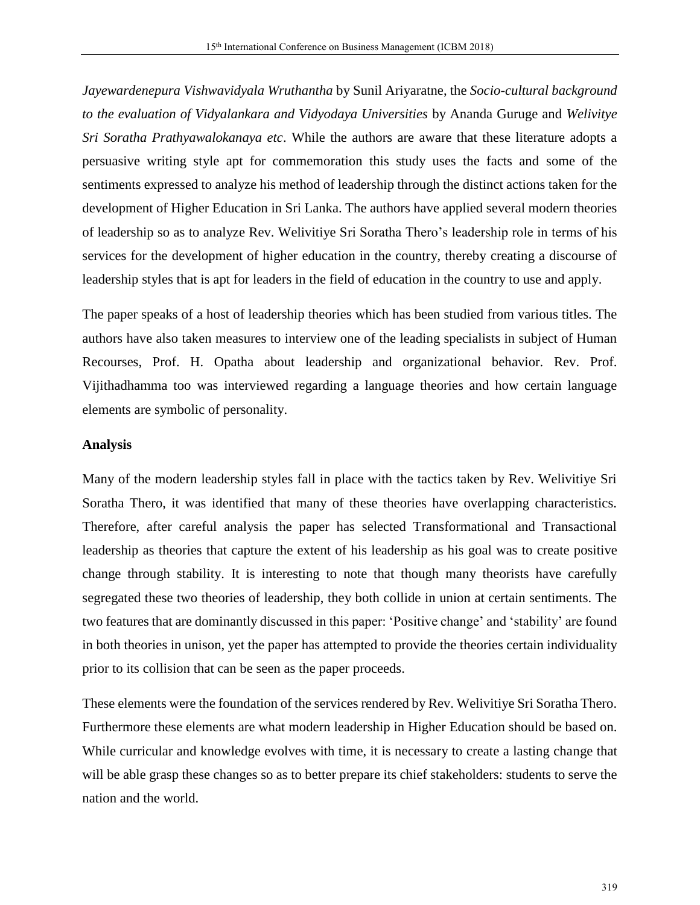*Jayewardenepura Vishwavidyala Wruthantha* by Sunil Ariyaratne, the *Socio-cultural background to the evaluation of Vidyalankara and Vidyodaya Universities* by Ananda Guruge and *Welivitye Sri Soratha Prathyawalokanaya etc*. While the authors are aware that these literature adopts a persuasive writing style apt for commemoration this study uses the facts and some of the sentiments expressed to analyze his method of leadership through the distinct actions taken for the development of Higher Education in Sri Lanka. The authors have applied several modern theories of leadership so as to analyze Rev. Welivitiye Sri Soratha Thero's leadership role in terms of his services for the development of higher education in the country, thereby creating a discourse of leadership styles that is apt for leaders in the field of education in the country to use and apply.

The paper speaks of a host of leadership theories which has been studied from various titles. The authors have also taken measures to interview one of the leading specialists in subject of Human Recourses, Prof. H. Opatha about leadership and organizational behavior. Rev. Prof. Vijithadhamma too was interviewed regarding a language theories and how certain language elements are symbolic of personality.

#### **Analysis**

Many of the modern leadership styles fall in place with the tactics taken by Rev. Welivitiye Sri Soratha Thero, it was identified that many of these theories have overlapping characteristics. Therefore, after careful analysis the paper has selected Transformational and Transactional leadership as theories that capture the extent of his leadership as his goal was to create positive change through stability. It is interesting to note that though many theorists have carefully segregated these two theories of leadership, they both collide in union at certain sentiments. The two features that are dominantly discussed in this paper: 'Positive change' and 'stability' are found in both theories in unison, yet the paper has attempted to provide the theories certain individuality prior to its collision that can be seen as the paper proceeds.

These elements were the foundation of the services rendered by Rev. Welivitiye Sri Soratha Thero. Furthermore these elements are what modern leadership in Higher Education should be based on. While curricular and knowledge evolves with time, it is necessary to create a lasting change that will be able grasp these changes so as to better prepare its chief stakeholders: students to serve the nation and the world.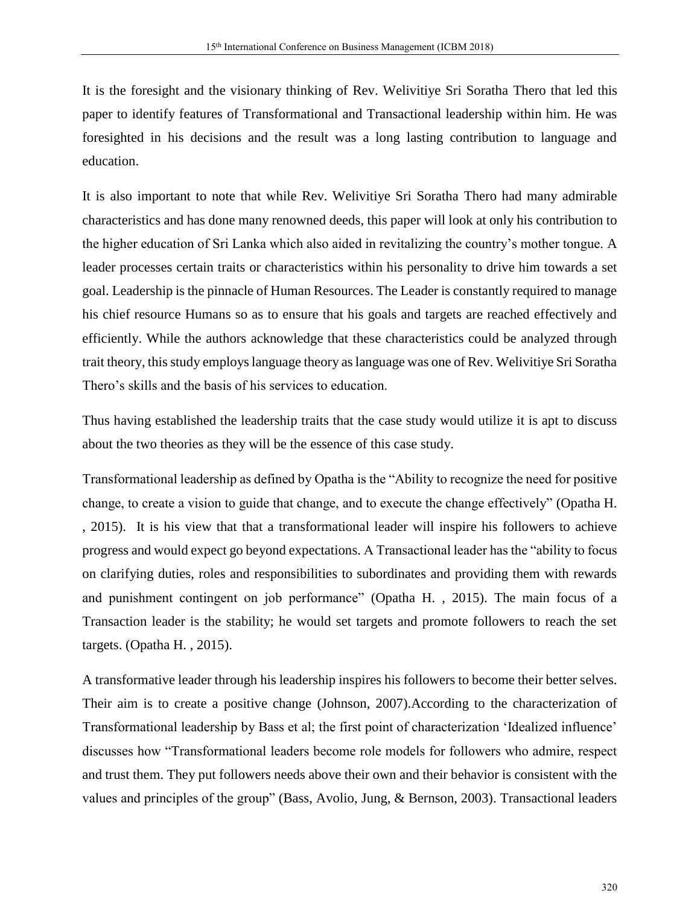It is the foresight and the visionary thinking of Rev. Welivitiye Sri Soratha Thero that led this paper to identify features of Transformational and Transactional leadership within him. He was foresighted in his decisions and the result was a long lasting contribution to language and education.

It is also important to note that while Rev. Welivitiye Sri Soratha Thero had many admirable characteristics and has done many renowned deeds, this paper will look at only his contribution to the higher education of Sri Lanka which also aided in revitalizing the country's mother tongue. A leader processes certain traits or characteristics within his personality to drive him towards a set goal. Leadership is the pinnacle of Human Resources. The Leader is constantly required to manage his chief resource Humans so as to ensure that his goals and targets are reached effectively and efficiently. While the authors acknowledge that these characteristics could be analyzed through trait theory, this study employs language theory as language was one of Rev. Welivitiye Sri Soratha Thero's skills and the basis of his services to education.

Thus having established the leadership traits that the case study would utilize it is apt to discuss about the two theories as they will be the essence of this case study.

Transformational leadership as defined by Opatha is the "Ability to recognize the need for positive change, to create a vision to guide that change, and to execute the change effectively" (Opatha H. , 2015). It is his view that that a transformational leader will inspire his followers to achieve progress and would expect go beyond expectations. A Transactional leader has the "ability to focus on clarifying duties, roles and responsibilities to subordinates and providing them with rewards and punishment contingent on job performance" (Opatha H. , 2015). The main focus of a Transaction leader is the stability; he would set targets and promote followers to reach the set targets. (Opatha H. , 2015).

A transformative leader through his leadership inspires his followers to become their better selves. Their aim is to create a positive change (Johnson, 2007).According to the characterization of Transformational leadership by Bass et al; the first point of characterization 'Idealized influence' discusses how "Transformational leaders become role models for followers who admire, respect and trust them. They put followers needs above their own and their behavior is consistent with the values and principles of the group" (Bass, Avolio, Jung, & Bernson, 2003). Transactional leaders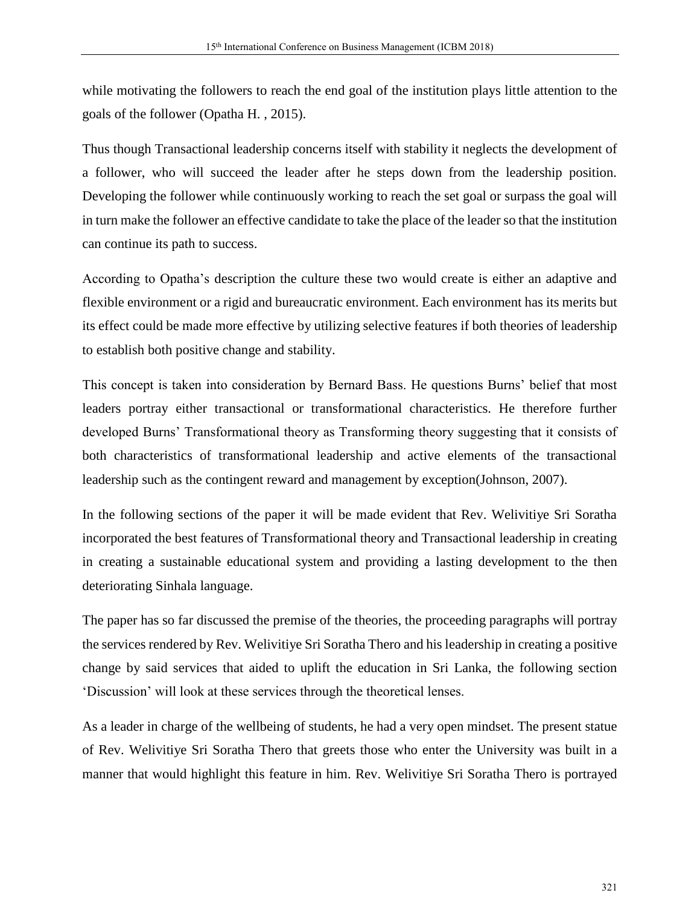while motivating the followers to reach the end goal of the institution plays little attention to the goals of the follower (Opatha H. , 2015).

Thus though Transactional leadership concerns itself with stability it neglects the development of a follower, who will succeed the leader after he steps down from the leadership position. Developing the follower while continuously working to reach the set goal or surpass the goal will in turn make the follower an effective candidate to take the place of the leader so that the institution can continue its path to success.

According to Opatha's description the culture these two would create is either an adaptive and flexible environment or a rigid and bureaucratic environment. Each environment has its merits but its effect could be made more effective by utilizing selective features if both theories of leadership to establish both positive change and stability.

This concept is taken into consideration by Bernard Bass. He questions Burns' belief that most leaders portray either transactional or transformational characteristics. He therefore further developed Burns' Transformational theory as Transforming theory suggesting that it consists of both characteristics of transformational leadership and active elements of the transactional leadership such as the contingent reward and management by exception(Johnson, 2007).

In the following sections of the paper it will be made evident that Rev. Welivitiye Sri Soratha incorporated the best features of Transformational theory and Transactional leadership in creating in creating a sustainable educational system and providing a lasting development to the then deteriorating Sinhala language.

The paper has so far discussed the premise of the theories, the proceeding paragraphs will portray the services rendered by Rev. Welivitiye Sri Soratha Thero and his leadership in creating a positive change by said services that aided to uplift the education in Sri Lanka, the following section 'Discussion' will look at these services through the theoretical lenses.

As a leader in charge of the wellbeing of students, he had a very open mindset. The present statue of Rev. Welivitiye Sri Soratha Thero that greets those who enter the University was built in a manner that would highlight this feature in him. Rev. Welivitiye Sri Soratha Thero is portrayed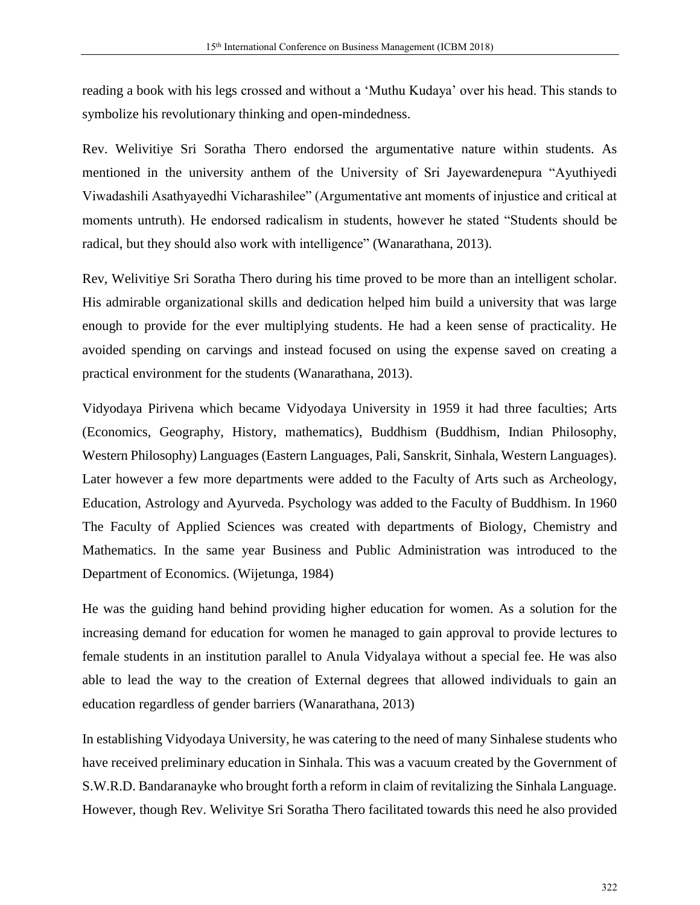reading a book with his legs crossed and without a 'Muthu Kudaya' over his head. This stands to symbolize his revolutionary thinking and open-mindedness.

Rev. Welivitiye Sri Soratha Thero endorsed the argumentative nature within students. As mentioned in the university anthem of the University of Sri Jayewardenepura "Ayuthiyedi Viwadashili Asathyayedhi Vicharashilee" (Argumentative ant moments of injustice and critical at moments untruth). He endorsed radicalism in students, however he stated "Students should be radical, but they should also work with intelligence" (Wanarathana, 2013).

Rev, Welivitiye Sri Soratha Thero during his time proved to be more than an intelligent scholar. His admirable organizational skills and dedication helped him build a university that was large enough to provide for the ever multiplying students. He had a keen sense of practicality. He avoided spending on carvings and instead focused on using the expense saved on creating a practical environment for the students (Wanarathana, 2013).

Vidyodaya Pirivena which became Vidyodaya University in 1959 it had three faculties; Arts (Economics, Geography, History, mathematics), Buddhism (Buddhism, Indian Philosophy, Western Philosophy) Languages (Eastern Languages, Pali, Sanskrit, Sinhala, Western Languages). Later however a few more departments were added to the Faculty of Arts such as Archeology, Education, Astrology and Ayurveda. Psychology was added to the Faculty of Buddhism. In 1960 The Faculty of Applied Sciences was created with departments of Biology, Chemistry and Mathematics. In the same year Business and Public Administration was introduced to the Department of Economics. (Wijetunga, 1984)

He was the guiding hand behind providing higher education for women. As a solution for the increasing demand for education for women he managed to gain approval to provide lectures to female students in an institution parallel to Anula Vidyalaya without a special fee. He was also able to lead the way to the creation of External degrees that allowed individuals to gain an education regardless of gender barriers (Wanarathana, 2013)

In establishing Vidyodaya University, he was catering to the need of many Sinhalese students who have received preliminary education in Sinhala. This was a vacuum created by the Government of S.W.R.D. Bandaranayke who brought forth a reform in claim of revitalizing the Sinhala Language. However, though Rev. Welivitye Sri Soratha Thero facilitated towards this need he also provided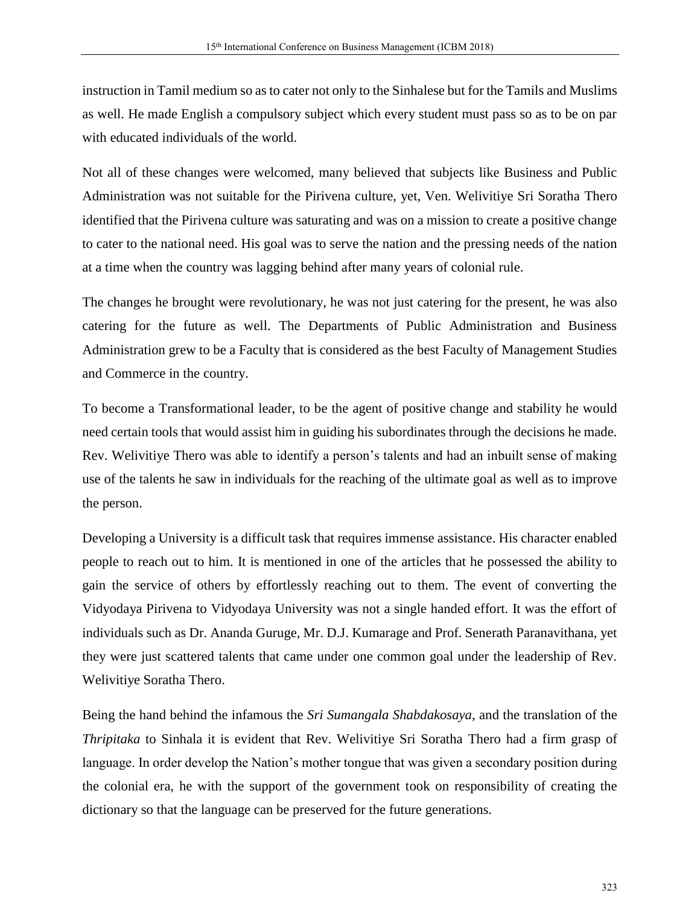instruction in Tamil medium so as to cater not only to the Sinhalese but for the Tamils and Muslims as well. He made English a compulsory subject which every student must pass so as to be on par with educated individuals of the world.

Not all of these changes were welcomed, many believed that subjects like Business and Public Administration was not suitable for the Pirivena culture, yet, Ven. Welivitiye Sri Soratha Thero identified that the Pirivena culture was saturating and was on a mission to create a positive change to cater to the national need. His goal was to serve the nation and the pressing needs of the nation at a time when the country was lagging behind after many years of colonial rule.

The changes he brought were revolutionary, he was not just catering for the present, he was also catering for the future as well. The Departments of Public Administration and Business Administration grew to be a Faculty that is considered as the best Faculty of Management Studies and Commerce in the country.

To become a Transformational leader, to be the agent of positive change and stability he would need certain tools that would assist him in guiding his subordinates through the decisions he made. Rev. Welivitiye Thero was able to identify a person's talents and had an inbuilt sense of making use of the talents he saw in individuals for the reaching of the ultimate goal as well as to improve the person.

Developing a University is a difficult task that requires immense assistance. His character enabled people to reach out to him. It is mentioned in one of the articles that he possessed the ability to gain the service of others by effortlessly reaching out to them. The event of converting the Vidyodaya Pirivena to Vidyodaya University was not a single handed effort. It was the effort of individuals such as Dr. Ananda Guruge, Mr. D.J. Kumarage and Prof. Senerath Paranavithana, yet they were just scattered talents that came under one common goal under the leadership of Rev. Welivitiye Soratha Thero.

Being the hand behind the infamous the *Sri Sumangala Shabdakosaya*, and the translation of the *Thripitaka* to Sinhala it is evident that Rev. Welivitiye Sri Soratha Thero had a firm grasp of language. In order develop the Nation's mother tongue that was given a secondary position during the colonial era, he with the support of the government took on responsibility of creating the dictionary so that the language can be preserved for the future generations.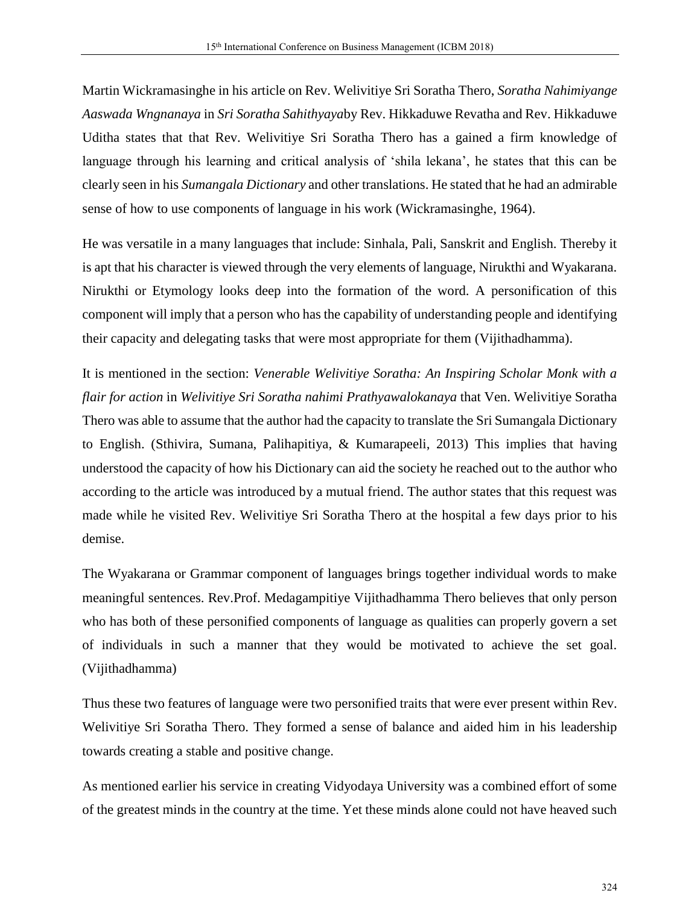Martin Wickramasinghe in his article on Rev. Welivitiye Sri Soratha Thero, *Soratha Nahimiyange Aaswada Wngnanaya* in *Sri Soratha Sahithyaya*by Rev. Hikkaduwe Revatha and Rev. Hikkaduwe Uditha states that that Rev. Welivitiye Sri Soratha Thero has a gained a firm knowledge of language through his learning and critical analysis of 'shila lekana', he states that this can be clearly seen in his *Sumangala Dictionary* and other translations. He stated that he had an admirable sense of how to use components of language in his work (Wickramasinghe, 1964).

He was versatile in a many languages that include: Sinhala, Pali, Sanskrit and English. Thereby it is apt that his character is viewed through the very elements of language, Nirukthi and Wyakarana. Nirukthi or Etymology looks deep into the formation of the word. A personification of this component will imply that a person who has the capability of understanding people and identifying their capacity and delegating tasks that were most appropriate for them (Vijithadhamma).

It is mentioned in the section: *Venerable Welivitiye Soratha: An Inspiring Scholar Monk with a flair for action* in *Welivitiye Sri Soratha nahimi Prathyawalokanaya* that Ven. Welivitiye Soratha Thero was able to assume that the author had the capacity to translate the Sri Sumangala Dictionary to English. (Sthivira, Sumana, Palihapitiya, & Kumarapeeli, 2013) This implies that having understood the capacity of how his Dictionary can aid the society he reached out to the author who according to the article was introduced by a mutual friend. The author states that this request was made while he visited Rev. Welivitiye Sri Soratha Thero at the hospital a few days prior to his demise.

The Wyakarana or Grammar component of languages brings together individual words to make meaningful sentences. Rev.Prof. Medagampitiye Vijithadhamma Thero believes that only person who has both of these personified components of language as qualities can properly govern a set of individuals in such a manner that they would be motivated to achieve the set goal. (Vijithadhamma)

Thus these two features of language were two personified traits that were ever present within Rev. Welivitiye Sri Soratha Thero. They formed a sense of balance and aided him in his leadership towards creating a stable and positive change.

As mentioned earlier his service in creating Vidyodaya University was a combined effort of some of the greatest minds in the country at the time. Yet these minds alone could not have heaved such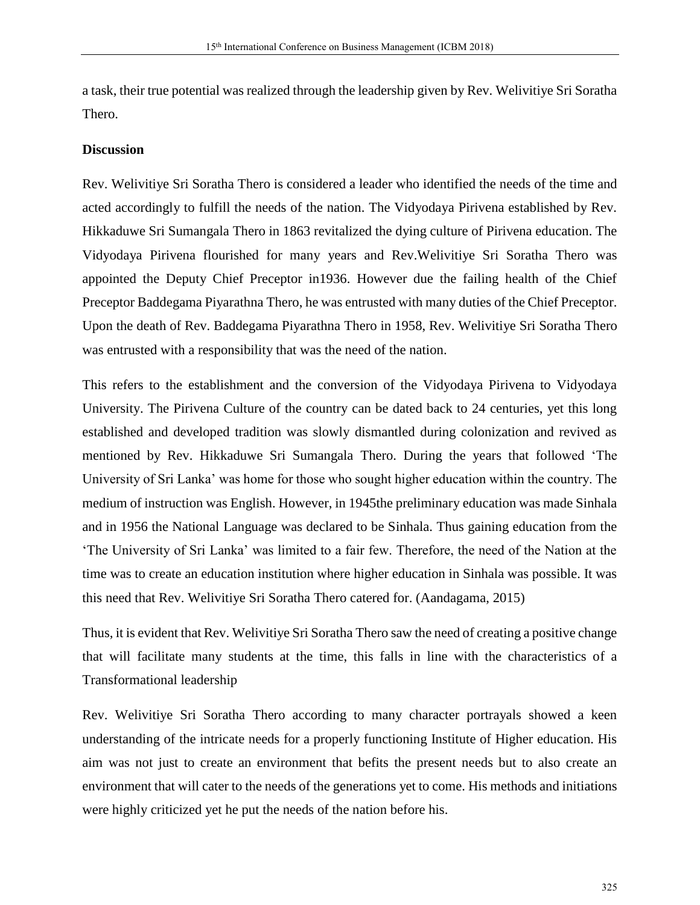a task, their true potential was realized through the leadership given by Rev. Welivitiye Sri Soratha Thero.

#### **Discussion**

Rev. Welivitiye Sri Soratha Thero is considered a leader who identified the needs of the time and acted accordingly to fulfill the needs of the nation. The Vidyodaya Pirivena established by Rev. Hikkaduwe Sri Sumangala Thero in 1863 revitalized the dying culture of Pirivena education. The Vidyodaya Pirivena flourished for many years and Rev.Welivitiye Sri Soratha Thero was appointed the Deputy Chief Preceptor in1936. However due the failing health of the Chief Preceptor Baddegama Piyarathna Thero, he was entrusted with many duties of the Chief Preceptor. Upon the death of Rev. Baddegama Piyarathna Thero in 1958, Rev. Welivitiye Sri Soratha Thero was entrusted with a responsibility that was the need of the nation.

This refers to the establishment and the conversion of the Vidyodaya Pirivena to Vidyodaya University. The Pirivena Culture of the country can be dated back to 24 centuries, yet this long established and developed tradition was slowly dismantled during colonization and revived as mentioned by Rev. Hikkaduwe Sri Sumangala Thero. During the years that followed 'The University of Sri Lanka' was home for those who sought higher education within the country. The medium of instruction was English. However, in 1945the preliminary education was made Sinhala and in 1956 the National Language was declared to be Sinhala. Thus gaining education from the 'The University of Sri Lanka' was limited to a fair few. Therefore, the need of the Nation at the time was to create an education institution where higher education in Sinhala was possible. It was this need that Rev. Welivitiye Sri Soratha Thero catered for. (Aandagama, 2015)

Thus, it is evident that Rev. Welivitiye Sri Soratha Thero saw the need of creating a positive change that will facilitate many students at the time, this falls in line with the characteristics of a Transformational leadership

Rev. Welivitiye Sri Soratha Thero according to many character portrayals showed a keen understanding of the intricate needs for a properly functioning Institute of Higher education. His aim was not just to create an environment that befits the present needs but to also create an environment that will cater to the needs of the generations yet to come. His methods and initiations were highly criticized yet he put the needs of the nation before his.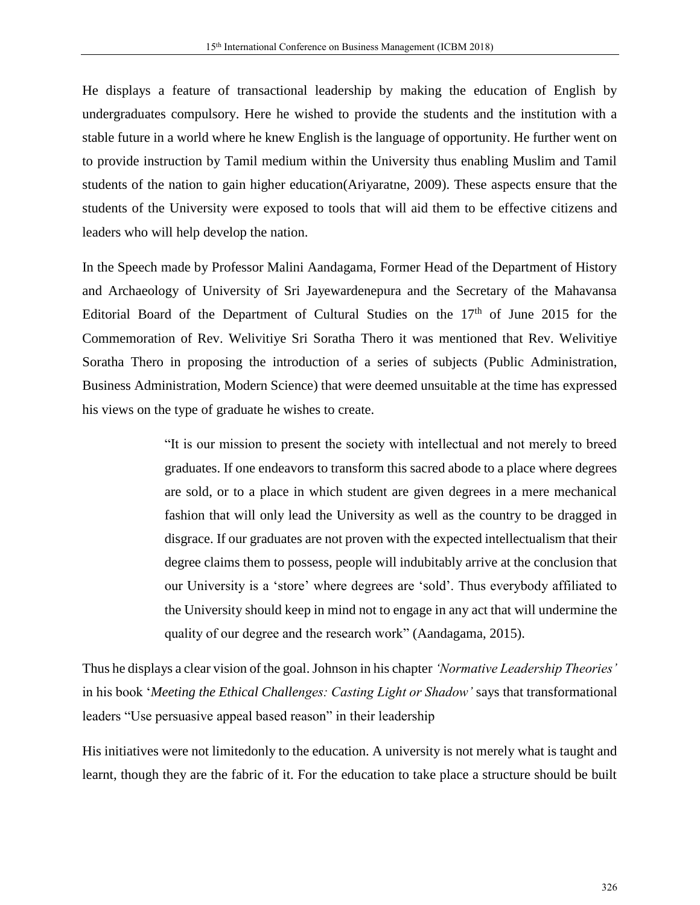He displays a feature of transactional leadership by making the education of English by undergraduates compulsory. Here he wished to provide the students and the institution with a stable future in a world where he knew English is the language of opportunity. He further went on to provide instruction by Tamil medium within the University thus enabling Muslim and Tamil students of the nation to gain higher education(Ariyaratne, 2009). These aspects ensure that the students of the University were exposed to tools that will aid them to be effective citizens and leaders who will help develop the nation.

In the Speech made by Professor Malini Aandagama, Former Head of the Department of History and Archaeology of University of Sri Jayewardenepura and the Secretary of the Mahavansa Editorial Board of the Department of Cultural Studies on the  $17<sup>th</sup>$  of June 2015 for the Commemoration of Rev. Welivitiye Sri Soratha Thero it was mentioned that Rev. Welivitiye Soratha Thero in proposing the introduction of a series of subjects (Public Administration, Business Administration, Modern Science) that were deemed unsuitable at the time has expressed his views on the type of graduate he wishes to create.

> "It is our mission to present the society with intellectual and not merely to breed graduates. If one endeavors to transform this sacred abode to a place where degrees are sold, or to a place in which student are given degrees in a mere mechanical fashion that will only lead the University as well as the country to be dragged in disgrace. If our graduates are not proven with the expected intellectualism that their degree claims them to possess, people will indubitably arrive at the conclusion that our University is a 'store' where degrees are 'sold'. Thus everybody affiliated to the University should keep in mind not to engage in any act that will undermine the quality of our degree and the research work" (Aandagama, 2015).

Thus he displays a clear vision of the goal. Johnson in his chapter *'Normative Leadership Theories'* in his book '*Meeting the Ethical Challenges: Casting Light or Shadow'* says that transformational leaders "Use persuasive appeal based reason" in their leadership

His initiatives were not limitedonly to the education. A university is not merely what is taught and learnt, though they are the fabric of it. For the education to take place a structure should be built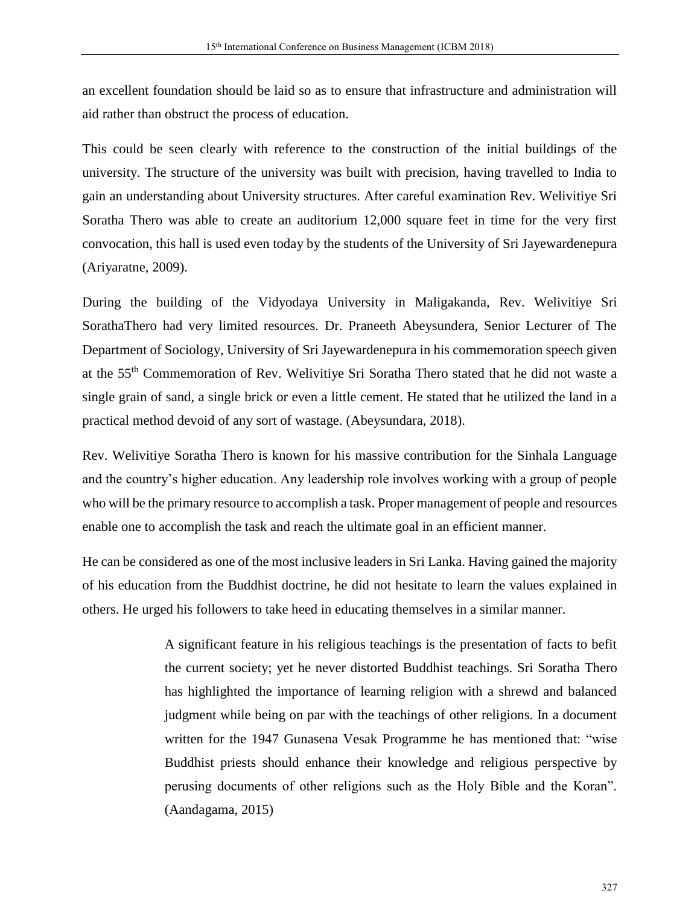an excellent foundation should be laid so as to ensure that infrastructure and administration will aid rather than obstruct the process of education.

This could be seen clearly with reference to the construction of the initial buildings of the university. The structure of the university was built with precision, having travelled to India to gain an understanding about University structures. After careful examination Rev. Welivitiye Sri Soratha Thero was able to create an auditorium 12,000 square feet in time for the very first convocation, this hall is used even today by the students of the University of Sri Jayewardenepura (Ariyaratne, 2009).

During the building of the Vidyodaya University in Maligakanda, Rev. Welivitiye Sri SorathaThero had very limited resources. Dr. Praneeth Abeysundera, Senior Lecturer of The Department of Sociology, University of Sri Jayewardenepura in his commemoration speech given at the 55th Commemoration of Rev. Welivitiye Sri Soratha Thero stated that he did not waste a single grain of sand, a single brick or even a little cement. He stated that he utilized the land in a practical method devoid of any sort of wastage. (Abeysundara, 2018).

Rev. Welivitiye Soratha Thero is known for his massive contribution for the Sinhala Language and the country's higher education. Any leadership role involves working with a group of people who will be the primary resource to accomplish a task. Proper management of people and resources enable one to accomplish the task and reach the ultimate goal in an efficient manner.

He can be considered as one of the most inclusive leaders in Sri Lanka. Having gained the majority of his education from the Buddhist doctrine, he did not hesitate to learn the values explained in others. He urged his followers to take heed in educating themselves in a similar manner.

> A significant feature in his religious teachings is the presentation of facts to befit the current society; yet he never distorted Buddhist teachings. Sri Soratha Thero has highlighted the importance of learning religion with a shrewd and balanced judgment while being on par with the teachings of other religions. In a document written for the 1947 Gunasena Vesak Programme he has mentioned that: "wise Buddhist priests should enhance their knowledge and religious perspective by perusing documents of other religions such as the Holy Bible and the Koran". (Aandagama, 2015)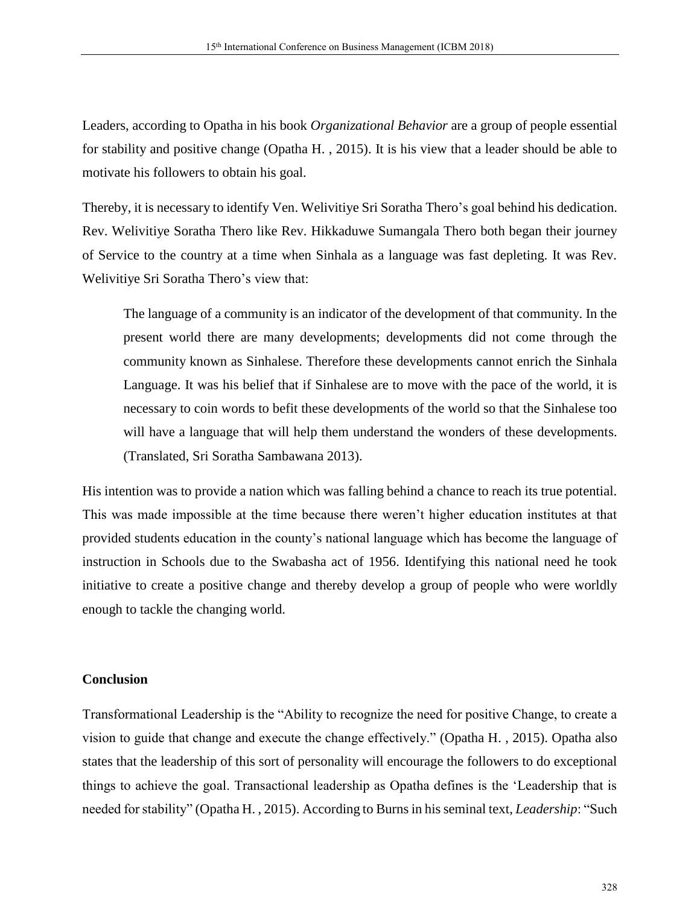Leaders, according to Opatha in his book *Organizational Behavior* are a group of people essential for stability and positive change (Opatha H. , 2015). It is his view that a leader should be able to motivate his followers to obtain his goal.

Thereby, it is necessary to identify Ven. Welivitiye Sri Soratha Thero's goal behind his dedication. Rev. Welivitiye Soratha Thero like Rev. Hikkaduwe Sumangala Thero both began their journey of Service to the country at a time when Sinhala as a language was fast depleting. It was Rev. Welivitiye Sri Soratha Thero's view that:

The language of a community is an indicator of the development of that community. In the present world there are many developments; developments did not come through the community known as Sinhalese. Therefore these developments cannot enrich the Sinhala Language. It was his belief that if Sinhalese are to move with the pace of the world, it is necessary to coin words to befit these developments of the world so that the Sinhalese too will have a language that will help them understand the wonders of these developments. (Translated, Sri Soratha Sambawana 2013).

His intention was to provide a nation which was falling behind a chance to reach its true potential. This was made impossible at the time because there weren't higher education institutes at that provided students education in the county's national language which has become the language of instruction in Schools due to the Swabasha act of 1956. Identifying this national need he took initiative to create a positive change and thereby develop a group of people who were worldly enough to tackle the changing world.

#### **Conclusion**

Transformational Leadership is the "Ability to recognize the need for positive Change, to create a vision to guide that change and execute the change effectively." (Opatha H. , 2015). Opatha also states that the leadership of this sort of personality will encourage the followers to do exceptional things to achieve the goal. Transactional leadership as Opatha defines is the 'Leadership that is needed for stability" (Opatha H. , 2015). According to Burns in his seminal text, *Leadership*: "Such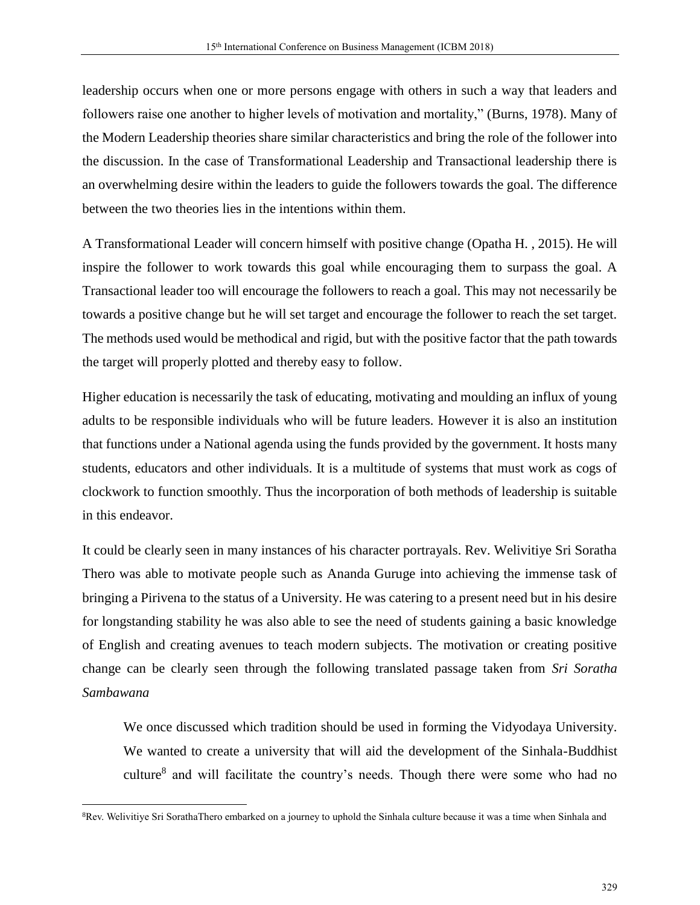leadership occurs when one or more persons engage with others in such a way that leaders and followers raise one another to higher levels of motivation and mortality," (Burns, 1978). Many of the Modern Leadership theories share similar characteristics and bring the role of the follower into the discussion. In the case of Transformational Leadership and Transactional leadership there is an overwhelming desire within the leaders to guide the followers towards the goal. The difference between the two theories lies in the intentions within them.

A Transformational Leader will concern himself with positive change (Opatha H. , 2015). He will inspire the follower to work towards this goal while encouraging them to surpass the goal. A Transactional leader too will encourage the followers to reach a goal. This may not necessarily be towards a positive change but he will set target and encourage the follower to reach the set target. The methods used would be methodical and rigid, but with the positive factor that the path towards the target will properly plotted and thereby easy to follow.

Higher education is necessarily the task of educating, motivating and moulding an influx of young adults to be responsible individuals who will be future leaders. However it is also an institution that functions under a National agenda using the funds provided by the government. It hosts many students, educators and other individuals. It is a multitude of systems that must work as cogs of clockwork to function smoothly. Thus the incorporation of both methods of leadership is suitable in this endeavor.

It could be clearly seen in many instances of his character portrayals. Rev. Welivitiye Sri Soratha Thero was able to motivate people such as Ananda Guruge into achieving the immense task of bringing a Pirivena to the status of a University. He was catering to a present need but in his desire for longstanding stability he was also able to see the need of students gaining a basic knowledge of English and creating avenues to teach modern subjects. The motivation or creating positive change can be clearly seen through the following translated passage taken from *Sri Soratha Sambawana*

We once discussed which tradition should be used in forming the Vidyodaya University. We wanted to create a university that will aid the development of the Sinhala-Buddhist culture<sup>8</sup> and will facilitate the country's needs. Though there were some who had no

 $\overline{a}$ 

<sup>&</sup>lt;sup>8</sup>Rev. Welivitiye Sri SorathaThero embarked on a journey to uphold the Sinhala culture because it was a time when Sinhala and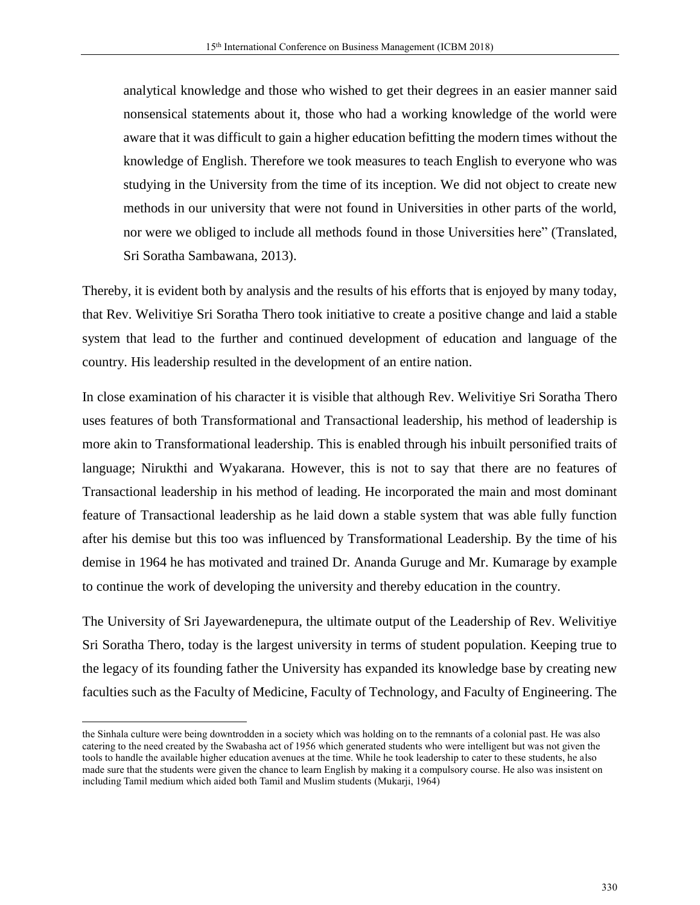analytical knowledge and those who wished to get their degrees in an easier manner said nonsensical statements about it, those who had a working knowledge of the world were aware that it was difficult to gain a higher education befitting the modern times without the knowledge of English. Therefore we took measures to teach English to everyone who was studying in the University from the time of its inception. We did not object to create new methods in our university that were not found in Universities in other parts of the world, nor were we obliged to include all methods found in those Universities here" (Translated, Sri Soratha Sambawana, 2013).

Thereby, it is evident both by analysis and the results of his efforts that is enjoyed by many today, that Rev. Welivitiye Sri Soratha Thero took initiative to create a positive change and laid a stable system that lead to the further and continued development of education and language of the country. His leadership resulted in the development of an entire nation.

In close examination of his character it is visible that although Rev. Welivitiye Sri Soratha Thero uses features of both Transformational and Transactional leadership, his method of leadership is more akin to Transformational leadership. This is enabled through his inbuilt personified traits of language; Nirukthi and Wyakarana. However, this is not to say that there are no features of Transactional leadership in his method of leading. He incorporated the main and most dominant feature of Transactional leadership as he laid down a stable system that was able fully function after his demise but this too was influenced by Transformational Leadership. By the time of his demise in 1964 he has motivated and trained Dr. Ananda Guruge and Mr. Kumarage by example to continue the work of developing the university and thereby education in the country.

The University of Sri Jayewardenepura, the ultimate output of the Leadership of Rev. Welivitiye Sri Soratha Thero, today is the largest university in terms of student population. Keeping true to the legacy of its founding father the University has expanded its knowledge base by creating new faculties such as the Faculty of Medicine, Faculty of Technology, and Faculty of Engineering. The

 $\overline{a}$ 

the Sinhala culture were being downtrodden in a society which was holding on to the remnants of a colonial past. He was also catering to the need created by the Swabasha act of 1956 which generated students who were intelligent but was not given the tools to handle the available higher education avenues at the time. While he took leadership to cater to these students, he also made sure that the students were given the chance to learn English by making it a compulsory course. He also was insistent on including Tamil medium which aided both Tamil and Muslim students (Mukarji, 1964)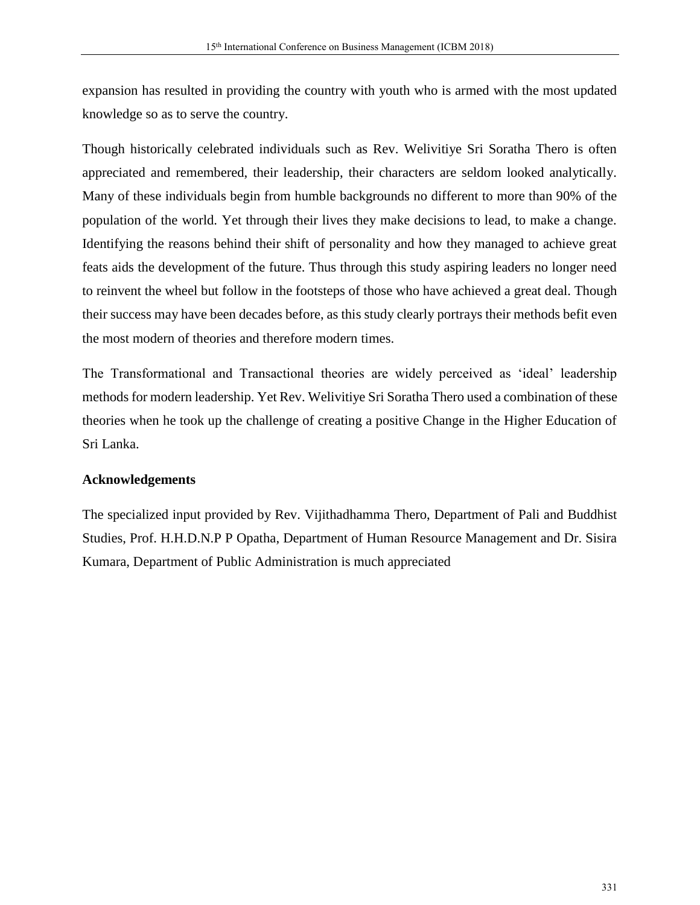expansion has resulted in providing the country with youth who is armed with the most updated knowledge so as to serve the country.

Though historically celebrated individuals such as Rev. Welivitiye Sri Soratha Thero is often appreciated and remembered, their leadership, their characters are seldom looked analytically. Many of these individuals begin from humble backgrounds no different to more than 90% of the population of the world. Yet through their lives they make decisions to lead, to make a change. Identifying the reasons behind their shift of personality and how they managed to achieve great feats aids the development of the future. Thus through this study aspiring leaders no longer need to reinvent the wheel but follow in the footsteps of those who have achieved a great deal. Though their success may have been decades before, as this study clearly portrays their methods befit even the most modern of theories and therefore modern times.

The Transformational and Transactional theories are widely perceived as 'ideal' leadership methods for modern leadership. Yet Rev. Welivitiye Sri Soratha Thero used a combination of these theories when he took up the challenge of creating a positive Change in the Higher Education of Sri Lanka.

## **Acknowledgements**

The specialized input provided by Rev. Vijithadhamma Thero, Department of Pali and Buddhist Studies, Prof. H.H.D.N.P P Opatha, Department of Human Resource Management and Dr. Sisira Kumara, Department of Public Administration is much appreciated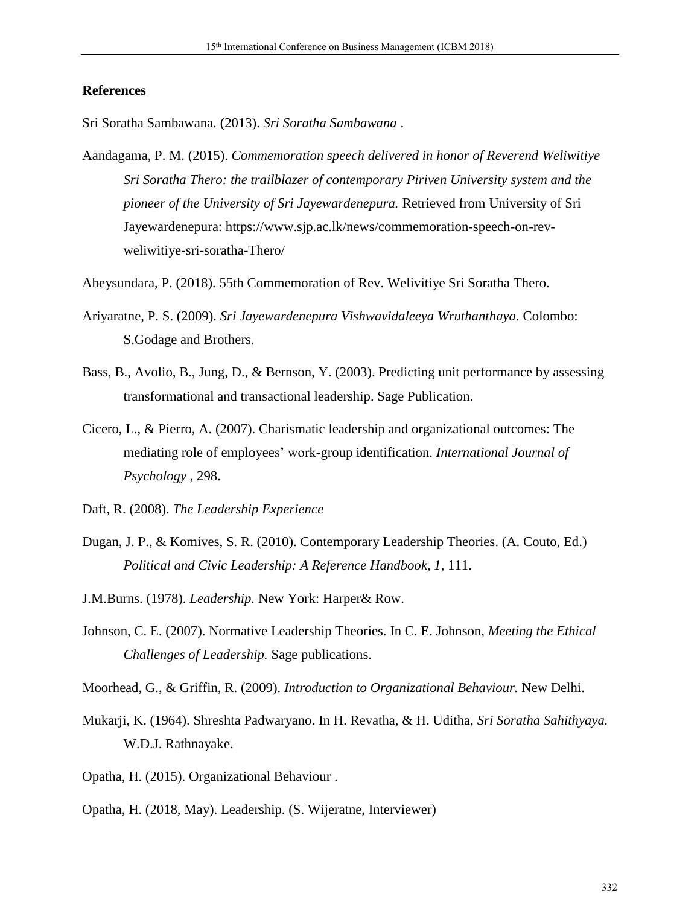### **References**

Sri Soratha Sambawana. (2013). *Sri Soratha Sambawana* .

- Aandagama, P. M. (2015). *Commemoration speech delivered in honor of Reverend Weliwitiye Sri Soratha Thero: the trailblazer of contemporary Piriven University system and the pioneer of the University of Sri Jayewardenepura.* Retrieved from University of Sri Jayewardenepura: https://www.sjp.ac.lk/news/commemoration-speech-on-revweliwitiye-sri-soratha-Thero/
- Abeysundara, P. (2018). 55th Commemoration of Rev. Welivitiye Sri Soratha Thero.
- Ariyaratne, P. S. (2009). *Sri Jayewardenepura Vishwavidaleeya Wruthanthaya.* Colombo: S.Godage and Brothers.
- Bass, B., Avolio, B., Jung, D., & Bernson, Y. (2003). Predicting unit performance by assessing transformational and transactional leadership. Sage Publication.
- Cicero, L., & Pierro, A. (2007). Charismatic leadership and organizational outcomes: The mediating role of employees' work-group identification. *International Journal of Psychology* , 298.
- Daft, R. (2008). *The Leadership Experience*
- Dugan, J. P., & Komives, S. R. (2010). Contemporary Leadership Theories. (A. Couto, Ed.) *Political and Civic Leadership: A Reference Handbook, 1*, 111.
- J.M.Burns. (1978). *Leadership.* New York: Harper& Row.
- Johnson, C. E. (2007). Normative Leadership Theories. In C. E. Johnson, *Meeting the Ethical Challenges of Leadership.* Sage publications.
- Moorhead, G., & Griffin, R. (2009). *Introduction to Organizational Behaviour.* New Delhi.
- Mukarji, K. (1964). Shreshta Padwaryano. In H. Revatha, & H. Uditha, *Sri Soratha Sahithyaya.* W.D.J. Rathnayake.
- Opatha, H. (2015). Organizational Behaviour .
- Opatha, H. (2018, May). Leadership. (S. Wijeratne, Interviewer)